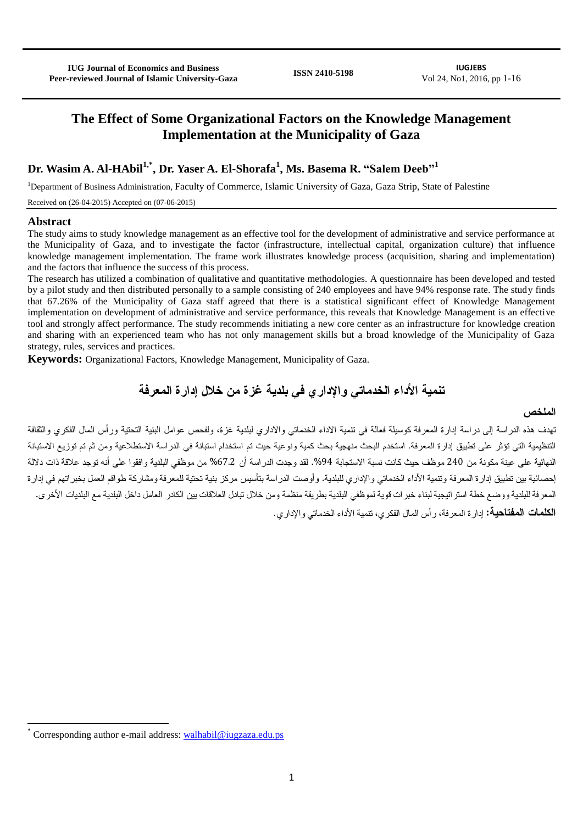**IUG Journal of Economics and Business Peer-reviewed Journal of Economics and Business**<br>**Peer-reviewed Journal of Islamic University-Gaza ISSN 2410-5198 ISSN 2610-5198 Vol** 24, No1, 2016

Vol 24, No1, 2016, pp 1-16

# **The Effect of Some Organizational Factors on the Knowledge Management Implementation at the Municipality of Gaza**

# **Dr. Wasim A. Al-HAbil1,\* , Dr. Yaser A. El-Shorafa<sup>1</sup> , Ms. Basema R. "Salem Deeb"<sup>1</sup>**

<sup>1</sup>Department of Business Administration, Faculty of Commerce, Islamic University of Gaza, Gaza Strip, State of Palestine

Received on (26-04-2015) Accepted on (07-06-2015)

#### **Abstract**

 $\overline{a}$ 

The study aims to study knowledge management as an effective tool for the development of administrative and service performance at the Municipality of Gaza, and to investigate the factor (infrastructure, intellectual capital, organization culture) that influence knowledge management implementation. The frame work illustrates knowledge process (acquisition, sharing and implementation) and the factors that influence the success of this process.

The research has utilized a combination of qualitative and quantitative methodologies. A questionnaire has been developed and tested by a pilot study and then distributed personally to a sample consisting of 240 employees and have 94% response rate. The study finds that 67.26% of the Municipality of Gaza staff agreed that there is a statistical significant effect of Knowledge Management implementation on development of administrative and service performance, this reveals that Knowledge Management is an effective tool and strongly affect performance. The study recommends initiating a new core center as an infrastructure for knowledge creation and sharing with an experienced team who has not only management skills but a broad knowledge of the Municipality of Gaza strategy, rules, services and practices.

**Keywords:** Organizational Factors, Knowledge Management, Municipality of Gaza.

تنمية الأداء الخدماتي والإدار ي في بلدية غزة من خلال إدارة المعرفة

#### الملخص

تهدف هذه الدراسة إلى دراسة إدارة المعرفة كوسيلة فعالة في تتمية الاداء الخدماتي والاداري لبلدية ولفعص عوامل البنية التحتية ورأس المال الفكري والثقافة التنظيمية التي تؤثر على تطبيق إدارة المعرفة. استخدم البحث منهجية بحث كمية ونوعية حيث تم استخدام استبانة في الدراسة الاستطلاعية ومن ثم تم توزيع الاستبانة النهائية على عينة مكونة من 240 موظف حيث كانت نسبة الاستجابة 94%. لقد وجدت الدراسة أن 67.2% من موظفي البلدية وافقوا على أنه توجد علاقة ذات دلالة إحصائية بين تطبيق إدارة المعرفة وتنمية الأداء الخدماتي والإداري للبلدية. وأوصت الدراسة بتأسيس مركز بنية تحتية للمعرفة ومشاركة طواقم العمل بخبراتهم في إدارة المعرفة للبلدية ووضع خطة استر اتيجية لبناء خبرات قوية لموظفي البلدية بطريقة منظمة ومن خلال تبادل العلاقات بين الكادر العامل داخل البلدية مع البلديات الأخرى. الكلمات المفتلحية: إدارة المعرفة، رأس المال الفكري، تتمية الأداء الخدماتي والإداري.

<sup>\*</sup> Corresponding author e-mail address: [walhabil@iugzaza.edu.ps](mailto:walhabil@iugzaza.edu.ps)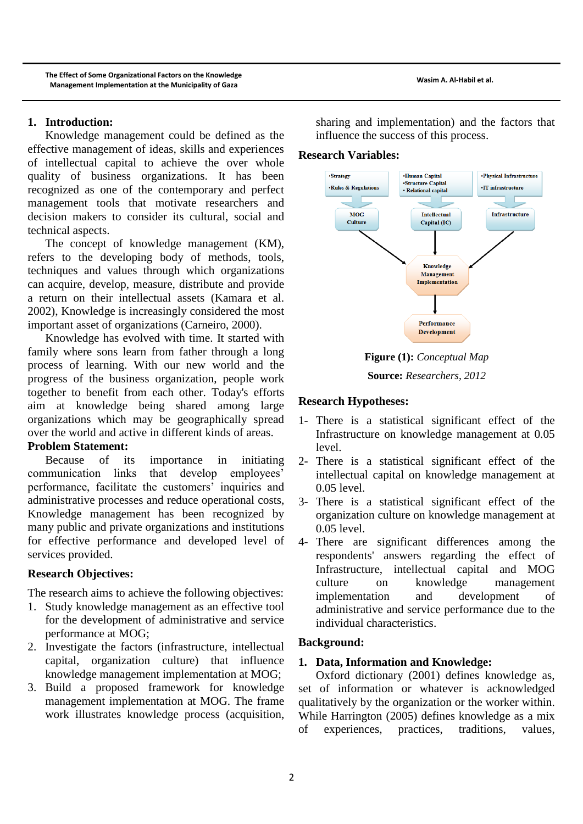**The Effect of Some Organizational Factors on the Knowledge**  ne Errect of Some Organizational Factors on the Knowledge<br>Management Implementation at the Municipality of Gaza **Management of Casa** Management Implementation at the Municipality of Gaza

#### **1. Introduction:**

Knowledge management could be defined as the effective management of ideas, skills and experiences of intellectual capital to achieve the over whole quality of business organizations. It has been recognized as one of the contemporary and perfect management tools that motivate researchers and decision makers to consider its cultural, social and technical aspects.

The concept of knowledge management (KM), refers to the developing body of methods, tools, techniques and values through which organizations can acquire, develop, measure, distribute and provide a return on their intellectual assets (Kamara et al. 2002), Knowledge is increasingly considered the most important asset of organizations (Carneiro, 2000).

Knowledge has evolved with time. It started with family where sons learn from father through a long process of learning. With our new world and the progress of the business organization, people work together to benefit from each other. Today's efforts aim at knowledge being shared among large organizations which may be geographically spread over the world and active in different kinds of areas.

## **Problem Statement:**

Because of its importance in initiating communication links that develop employees' performance, facilitate the customers' inquiries and administrative processes and reduce operational costs, Knowledge management has been recognized by many public and private organizations and institutions for effective performance and developed level of services provided.

#### **Research Objectives:**

The research aims to achieve the following objectives:

- 1. Study knowledge management as an effective tool for the development of administrative and service performance at MOG;
- 2. Investigate the factors (infrastructure, intellectual capital, organization culture) that influence knowledge management implementation at MOG;
- 3. Build a proposed framework for knowledge management implementation at MOG. The frame work illustrates knowledge process (acquisition,

sharing and implementation) and the factors that influence the success of this process.

#### **Research Variables:**



**Figure (1):** *Conceptual Map*

**Source:** *Researchers, 2012*

#### **Research Hypotheses:**

- 1- There is a statistical significant effect of the Infrastructure on knowledge management at 0.05 level.
- 2- There is a statistical significant effect of the intellectual capital on knowledge management at 0.05 level.
- 3- There is a statistical significant effect of the organization culture on knowledge management at 0.05 level.
- 4- There are significant differences among the respondents' answers regarding the effect of Infrastructure, intellectual capital and MOG culture on knowledge management implementation and development of administrative and service performance due to the individual characteristics.

#### **Background:**

#### **1. Data, Information and Knowledge:**

Oxford dictionary (2001) defines knowledge as, set of information or whatever is acknowledged qualitatively by the organization or the worker within. While Harrington (2005) defines knowledge as a mix of experiences, practices, traditions, values,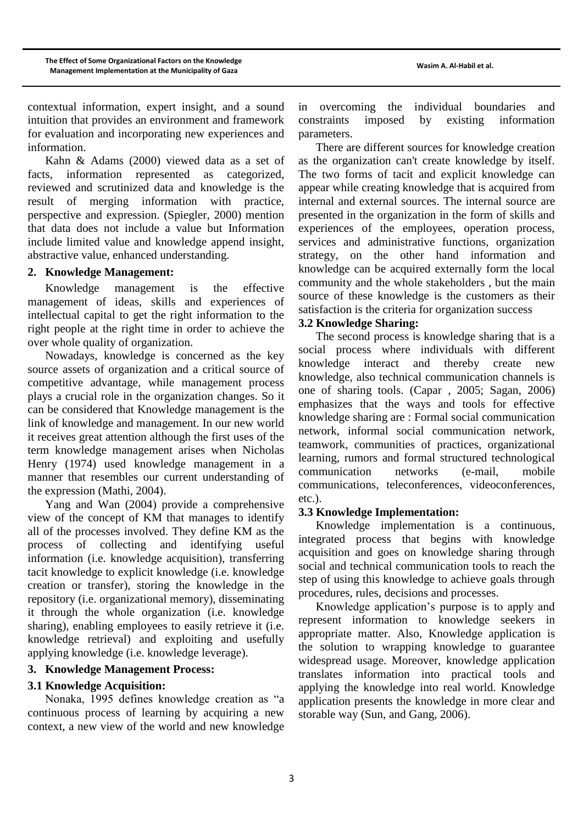contextual information, expert insight, and a sound intuition that provides an environment and framework for evaluation and incorporating new experiences and information.

Kahn & Adams (2000) viewed data as a set of facts, information represented as categorized, reviewed and scrutinized data and knowledge is the result of merging information with practice, perspective and expression. (Spiegler, 2000) mention that data does not include a value but Information include limited value and knowledge append insight, abstractive value, enhanced understanding.

#### **2. Knowledge Management:**

Knowledge management is the effective management of ideas, skills and experiences of intellectual capital to get the right information to the right people at the right time in order to achieve the over whole quality of organization.

Nowadays, knowledge is concerned as the key source assets of organization and a critical source of competitive advantage, while management process plays a crucial role in the organization changes. So it can be considered that Knowledge management is the link of knowledge and management. In our new world it receives great attention although the first uses of the term knowledge management arises when Nicholas Henry (1974) used knowledge management in a manner that resembles our current understanding of the expression (Mathi, 2004).

Yang and Wan (2004) provide a comprehensive view of the concept of KM that manages to identify all of the processes involved. They define KM as the process of collecting and identifying useful information (i.e. knowledge acquisition), transferring tacit knowledge to explicit knowledge (i.e. knowledge creation or transfer), storing the knowledge in the repository (i.e. organizational memory), disseminating it through the whole organization (i.e. knowledge sharing), enabling employees to easily retrieve it (i.e. knowledge retrieval) and exploiting and usefully applying knowledge (i.e. knowledge leverage).

#### **3. Knowledge Management Process:**

#### **3.1 Knowledge Acquisition:**

Nonaka, 1995 defines knowledge creation as "a continuous process of learning by acquiring a new context, a new view of the world and new knowledge

in overcoming the individual boundaries and constraints imposed by existing information parameters.

There are different sources for knowledge creation as the organization can't create knowledge by itself. The two forms of tacit and explicit knowledge can appear while creating knowledge that is acquired from internal and external sources. The internal source are presented in the organization in the form of skills and experiences of the employees, operation process, services and administrative functions, organization strategy, on the other hand information and knowledge can be acquired externally form the local community and the whole stakeholders , but the main source of these knowledge is the customers as their satisfaction is the criteria for organization success

#### **3.2 Knowledge Sharing:**

The second process is knowledge sharing that is a social process where individuals with different knowledge interact and thereby create new knowledge, also technical communication channels is one of sharing tools. (Capar , 2005; Sagan, 2006) emphasizes that the ways and tools for effective knowledge sharing are : Formal social communication network, informal social communication network, teamwork, communities of practices, organizational learning, rumors and formal structured technological communication networks (e-mail, mobile communications, teleconferences, videoconferences, etc.).

#### **3.3 Knowledge Implementation:**

Knowledge implementation is a continuous, integrated process that begins with knowledge acquisition and goes on knowledge sharing through social and technical communication tools to reach the step of using this knowledge to achieve goals through procedures, rules, decisions and processes.

Knowledge application's purpose is to apply and represent information to knowledge seekers in appropriate matter. Also, Knowledge application is the solution to wrapping knowledge to guarantee widespread usage. Moreover, knowledge application translates information into practical tools and applying the knowledge into real world. Knowledge application presents the knowledge in more clear and storable way (Sun, and Gang, 2006).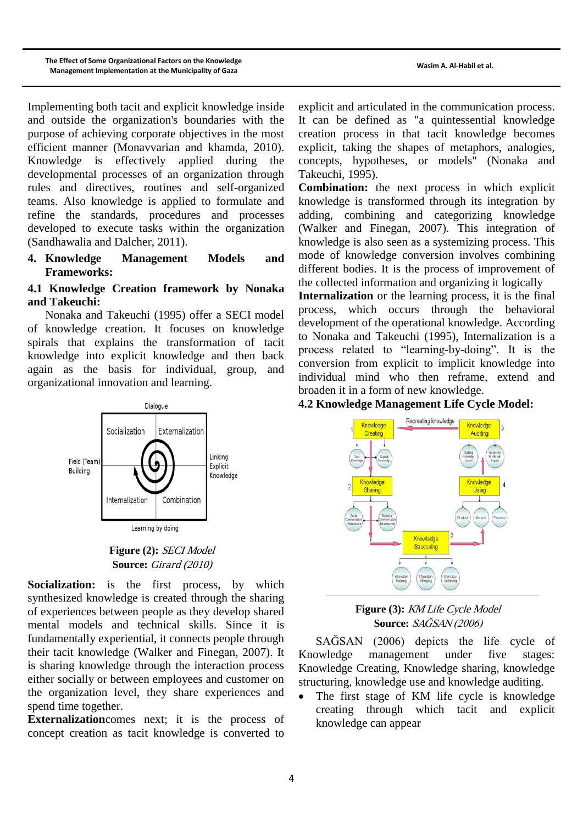Implementing both tacit and explicit knowledge inside and outside the organization's boundaries with the purpose of achieving corporate objectives in the most efficient manner (Monavvarian and khamda, 2010). Knowledge is effectively applied during the developmental processes of an organization through rules and directives, routines and self-organized teams. Also knowledge is applied to formulate and refine the standards, procedures and processes developed to execute tasks within the organization (Sandhawalia and Dalcher, 2011).

**4. Knowledge Management Models and Frameworks:**

# **4.1 Knowledge Creation framework by Nonaka and Takeuchi:**

Nonaka and Takeuchi (1995) offer a SECI model of knowledge creation. It focuses on knowledge spirals that explains the transformation of tacit knowledge into explicit knowledge and then back again as the basis for individual, group, and organizational innovation and learning.



**Figure (2):** SECI Model **Source:** Girard (2010)

**Socialization:** is the first process, by which synthesized knowledge is created through the sharing of experiences between people as they develop shared mental models and technical skills. Since it is fundamentally experiential, it connects people through their tacit knowledge (Walker and Finegan, 2007). It is sharing knowledge through the interaction process either socially or between employees and customer on the organization level, they share experiences and spend time together.

**Externalization**comes next; it is the process of concept creation as tacit knowledge is converted to

explicit and articulated in the communication process. It can be defined as "a quintessential knowledge creation process in that tacit knowledge becomes explicit, taking the shapes of metaphors, analogies, concepts, hypotheses, or models" (Nonaka and Takeuchi, 1995).

**Combination:** the next process in which explicit knowledge is transformed through its integration by adding, combining and categorizing knowledge (Walker and Finegan, 2007). This integration of knowledge is also seen as a systemizing process. This mode of knowledge conversion involves combining different bodies. It is the process of improvement of the collected information and organizing it logically

**Internalization** or the learning process, it is the final process, which occurs through the behavioral development of the operational knowledge. According to Nonaka and Takeuchi (1995), Internalization is a process related to "learning-by-doing". It is the conversion from explicit to implicit knowledge into individual mind who then reframe, extend and broaden it in a form of new knowledge.

## **4.2 Knowledge Management Life Cycle Model:**



**Figure (3):** KM Life Cycle Model **Source:** SAĞSAN (2006)

SAĞSAN (2006) depicts the life cycle of Knowledge management under five stages: Knowledge Creating, Knowledge sharing, knowledge structuring, knowledge use and knowledge auditing.

 The first stage of KM life cycle is knowledge creating through which tacit and explicit knowledge can appear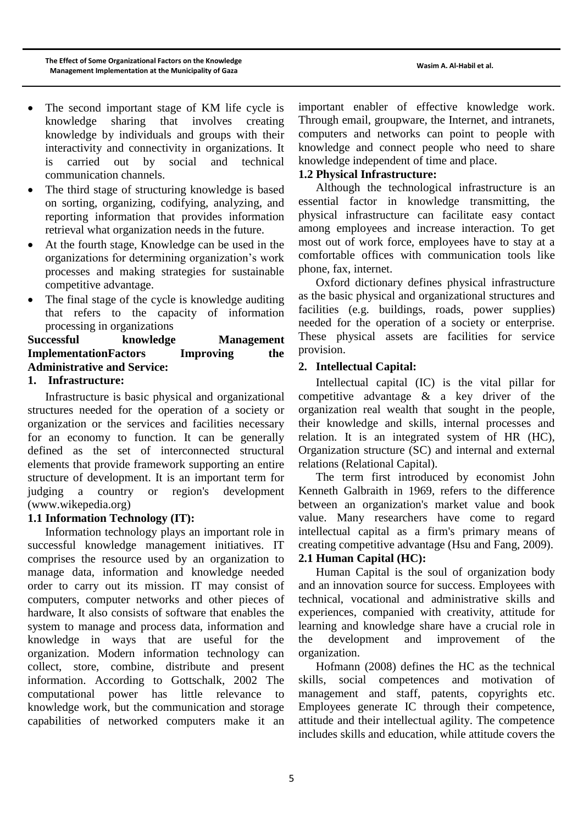- The second important stage of KM life cycle is knowledge sharing that involves creating knowledge by individuals and groups with their interactivity and connectivity in organizations. It is carried out by social and technical communication channels.
- The third stage of structuring knowledge is based on sorting, organizing, codifying, analyzing, and reporting information that provides information retrieval what organization needs in the future.
- At the fourth stage, Knowledge can be used in the organizations for determining organization's work processes and making strategies for sustainable competitive advantage.
- The final stage of the cycle is knowledge auditing that refers to the capacity of information processing in organizations

# **Successful knowledge Management ImplementationFactors Improving the Administrative and Service:**

## **1. Infrastructure:**

Infrastructure is basic physical and [organizational](http://en.wikipedia.org/wiki/Organization) structures needed for the operation of a [society](http://en.wikipedia.org/wiki/Society) or [organization](http://en.wikipedia.org/wiki/Business) or the services and facilities necessary for an [economy](http://en.wikipedia.org/wiki/Economy) to function. It can be generally defined as the set of interconnected structural elements that provide framework supporting an entire structure of development. It is an important term for judging a country or region's development (www.wikepedia.org)

## **1.1 Information Technology (IT):**

Information technology plays an important role in successful knowledge management initiatives. IT comprises the resource used by an organization to manage data, information and knowledge needed order to carry out its mission. IT may consist of computers, computer networks and other pieces of hardware, It also consists of software that enables the system to manage and process data, information and knowledge in ways that are useful for the organization. Modern information technology can collect, store, combine, distribute and present information. According to Gottschalk, 2002 The computational power has little relevance to knowledge work, but the communication and storage capabilities of networked computers make it an

important enabler of effective knowledge work. Through email, groupware, the Internet, and intranets, computers and networks can point to people with knowledge and connect people who need to share knowledge independent of time and place.

# **1.2 Physical Infrastructure:**

Although the technological infrastructure is an essential factor in knowledge transmitting, the physical infrastructure can facilitate easy contact among employees and increase interaction. To get most out of work force, employees have to stay at a comfortable offices with communication tools like phone, fax, internet.

Oxford dictionary defines physical infrastructure as the basic physical and organizational structures and facilities (e.g. buildings, roads, power supplies) needed for the operation of a society or enterprise. These physical assets are facilities for service provision.

## **2. Intellectual Capital:**

Intellectual capital (IC) is the vital pillar for competitive advantage  $\&$  a key driver of the organization real wealth that sought in the people, their knowledge and skills, internal processes and relation. It is an integrated system of HR (HC), Organization structure (SC) and internal and external relations (Relational Capital).

The term first introduced by economist John Kenneth Galbraith in 1969, refers to the difference between an organization's market value and book value. Many researchers have come to regard intellectual capital as a firm's primary means of creating competitive advantage (Hsu and Fang, 2009).

# **2.1 Human Capital (HC):**

Human Capital is the soul of organization body and an innovation source for success. Employees with technical, vocational and administrative skills and experiences, companied with creativity, attitude for learning and knowledge share have a crucial role in the development and improvement of the organization.

Hofmann (2008) defines the HC as the technical skills, social competences and motivation of management and staff, patents, copyrights etc. Employees generate IC through their competence, attitude and their intellectual agility. The competence includes skills and education, while attitude covers the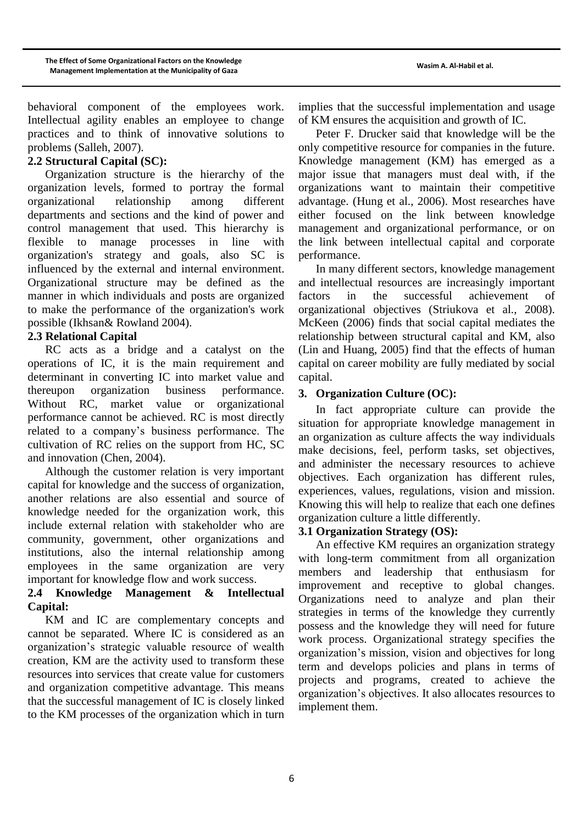behavioral component of the employees work. Intellectual agility enables an employee to change practices and to think of innovative solutions to problems (Salleh, 2007).

# **2.2 Structural Capital (SC):**

Organization structure is the hierarchy of the organization levels, formed to portray the formal organizational relationship among different departments and sections and the kind of power and control management that used. This hierarchy is flexible to manage processes in line with organization's strategy and goals, also SC is influenced by the external and internal environment. Organizational structure may be defined as the manner in which individuals and posts are organized to make the performance of the organization's work possible (Ikhsan& Rowland 2004).

## **2.3 Relational Capital**

RC acts as a bridge and a catalyst on the operations of IC, it is the main requirement and determinant in converting IC into market value and thereupon organization business performance. Without RC, market value or organizational performance cannot be achieved. RC is most directly related to a company's business performance. The cultivation of RC relies on the support from HC, SC and innovation (Chen, 2004).

Although the customer relation is very important capital for knowledge and the success of organization, another relations are also essential and source of knowledge needed for the organization work, this include external relation with stakeholder who are community, government, other organizations and institutions, also the internal relationship among employees in the same organization are very important for knowledge flow and work success.

# **2.4 Knowledge Management & Intellectual Capital:**

KM and IC are complementary concepts and cannot be separated. Where IC is considered as an organization's strategic valuable resource of wealth creation, KM are the activity used to transform these resources into services that create value for customers and organization competitive advantage. This means that the successful management of IC is closely linked to the KM processes of the organization which in turn

implies that the successful implementation and usage of KM ensures the acquisition and growth of IC.

Peter F. Drucker said that knowledge will be the only competitive resource for companies in the future. Knowledge management (KM) has emerged as a major issue that managers must deal with, if the organizations want to maintain their competitive advantage. (Hung et al., 2006). Most researches have either focused on the link between knowledge management and organizational performance, or on the link between intellectual capital and corporate performance.

In many different sectors, knowledge management and intellectual resources are increasingly important factors in the successful achievement of organizational objectives (Striukova et al., 2008). McKeen (2006) finds that social capital mediates the relationship between structural capital and KM, also (Lin and Huang, 2005) find that the effects of human capital on career mobility are fully mediated by social capital.

# **3. Organization Culture (OC):**

In fact appropriate culture can provide the situation for appropriate knowledge management in an organization as culture affects the way individuals make decisions, feel, perform tasks, set objectives, and administer the necessary resources to achieve objectives. Each organization has different rules, experiences, values, regulations, vision and mission. Knowing this will help to realize that each one defines organization culture a little differently.

# **3.1 Organization Strategy (OS):**

An effective KM requires an organization strategy with long-term commitment from all organization members and leadership that enthusiasm for improvement and receptive to global changes. Organizations need to analyze and plan their strategies in terms of the knowledge they currently possess and the knowledge they will need for future work process. Organizational strategy specifies the organization's mission, vision and objectives for long term and develops policies and plans in terms of projects and programs, created to achieve the organization's objectives. It also allocates resources to implement them.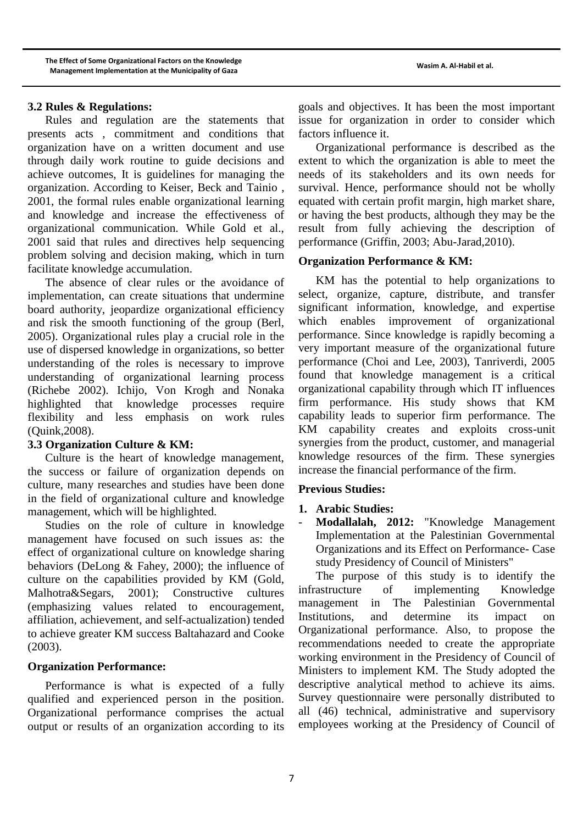#### **3.2 Rules & Regulations:**

Rules and regulation are the statements that presents acts , commitment and conditions that organization have on a written document and use through daily work routine to guide decisions and achieve outcomes, It is guidelines for managing the organization. According to Keiser, Beck and Tainio , 2001, the formal rules enable organizational learning and knowledge and increase the effectiveness of organizational communication. While Gold et al., 2001 said that rules and directives help sequencing problem solving and decision making, which in turn facilitate knowledge accumulation.

The absence of clear rules or the avoidance of implementation, can create situations that undermine board authority, jeopardize organizational efficiency and risk the smooth functioning of the group (Berl, 2005). Organizational rules play a crucial role in the use of dispersed knowledge in organizations, so better understanding of the roles is necessary to improve understanding of organizational learning process (Richebe 2002). Ichijo, Von Krogh and Nonaka highlighted that knowledge processes require flexibility and less emphasis on work rules (Quink,2008).

## **3.3 Organization Culture & KM:**

Culture is the heart of knowledge management, the success or failure of organization depends on culture, many researches and studies have been done in the field of organizational culture and knowledge management, which will be highlighted.

Studies on the role of culture in knowledge management have focused on such issues as: the effect of organizational culture on knowledge sharing behaviors (DeLong & Fahey, 2000); the influence of culture on the capabilities provided by KM (Gold, Malhotra&Segars, 2001); Constructive cultures (emphasizing values related to encouragement, affiliation, achievement, and self-actualization) tended to achieve greater KM success Baltahazard and Cooke (2003).

## **Organization Performance:**

Performance is what is expected of a fully qualified and experienced person in the position. Organizational performance comprises the actual output or results of an organization according to its goals and objectives. It has been the most important issue for organization in order to consider which factors influence it.

Organizational performance is described as the extent to which the organization is able to meet the needs of its stakeholders and its own needs for survival. Hence, performance should not be wholly equated with certain profit margin, high market share, or having the best products, although they may be the result from fully achieving the description of performance (Griffin, 2003; Abu-Jarad,2010).

## **Organization Performance & KM:**

KM has the potential to help organizations to select, organize, capture, distribute, and transfer significant information, knowledge, and expertise which enables improvement of organizational performance. Since knowledge is rapidly becoming a very important measure of the organizational future performance (Choi and Lee, 2003), Tanriverdi, 2005 found that knowledge management is a critical organizational capability through which IT influences firm performance. His study shows that KM capability leads to superior firm performance. The KM capability creates and exploits cross-unit synergies from the product, customer, and managerial knowledge resources of the firm. These synergies increase the financial performance of the firm.

# **Previous Studies:**

## **1. Arabic Studies:**

Modallalah, 2012: "Knowledge Management Implementation at the Palestinian Governmental Organizations and its Effect on Performance- Case study Presidency of Council of Ministers"

The purpose of this study is to identify the infrastructure of implementing Knowledge management in The Palestinian Governmental Institutions, and determine its impact on Organizational performance. Also, to propose the recommendations needed to create the appropriate working environment in the Presidency of Council of Ministers to implement KM. The Study adopted the descriptive analytical method to achieve its aims. Survey questionnaire were personally distributed to all (46) technical, administrative and supervisory employees working at the Presidency of Council of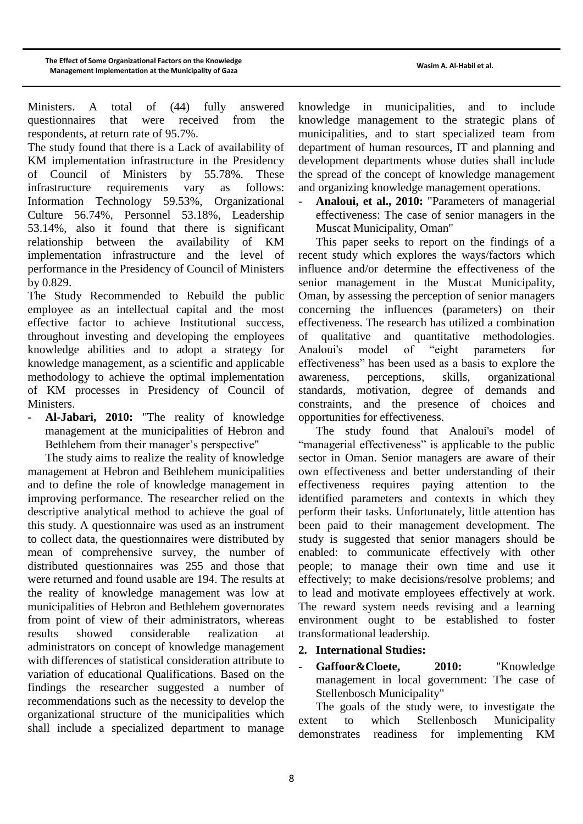Ministers. A total of (44) fully answered questionnaires that were received from the respondents, at return rate of 95.7%.

The study found that there is a Lack of availability of KM implementation infrastructure in the Presidency of Council of Ministers by 55.78%. These infrastructure requirements vary as follows: Information Technology 59.53%, Organizational Culture 56.74%, Personnel 53.18%, Leadership 53.14%, also it found that there is significant relationship between the availability of KM implementation infrastructure and the level of performance in the Presidency of Council of Ministers by 0.829.

The Study Recommended to Rebuild the public employee as an intellectual capital and the most effective factor to achieve Institutional success, throughout investing and developing the employees knowledge abilities and to adopt a strategy for knowledge management, as a scientific and applicable methodology to achieve the optimal implementation of KM processes in Presidency of Council of Ministers.

- **Al-Jabari, 2010:** "The reality of knowledge management at the municipalities of Hebron and Bethlehem from their manager's perspective"

The study aims to realize the reality of knowledge management at Hebron and Bethlehem municipalities and to define the role of knowledge management in improving performance. The researcher relied on the descriptive analytical method to achieve the goal of this study. A questionnaire was used as an instrument to collect data, the questionnaires were distributed by mean of comprehensive survey, the number of distributed questionnaires was 255 and those that were returned and found usable are 194. The results at the reality of knowledge management was low at municipalities of Hebron and Bethlehem governorates from point of view of their administrators, whereas results showed considerable realization at administrators on concept of knowledge management with differences of statistical consideration attribute to variation of educational Qualifications. Based on the findings the researcher suggested a number of recommendations such as the necessity to develop the organizational structure of the municipalities which shall include a specialized department to manage

knowledge in municipalities, and to include knowledge management to the strategic plans of municipalities, and to start specialized team from department of human resources, IT and planning and development departments whose duties shall include the spread of the concept of knowledge management and organizing knowledge management operations.

- **Analoui, et al., 2010:** "Parameters of managerial effectiveness: The case of senior managers in the Muscat Municipality, Oman"

This paper seeks to report on the findings of a recent study which explores the ways/factors which influence and/or determine the effectiveness of the senior management in the Muscat Municipality, Oman, by assessing the perception of senior managers concerning the influences (parameters) on their effectiveness. The research has utilized a combination of qualitative and quantitative methodologies. Analoui's model of "eight parameters for effectiveness" has been used as a basis to explore the awareness, perceptions, skills, organizational standards, motivation, degree of demands and constraints, and the presence of choices and opportunities for effectiveness.

The study found that Analoui's model of "managerial effectiveness" is applicable to the public sector in Oman. Senior managers are aware of their own effectiveness and better understanding of their effectiveness requires paying attention to the identified parameters and contexts in which they perform their tasks. Unfortunately, little attention has been paid to their management development. The study is suggested that senior managers should be enabled: to communicate effectively with other people; to manage their own time and use it effectively; to make decisions/resolve problems; and to lead and motivate employees effectively at work. The reward system needs revising and a learning environment ought to be established to foster transformational leadership.

## **2. International Studies:**

Gaffoor & Cloete, 2010: "Knowledge management in local government: The case of Stellenbosch Municipality"

The goals of the study were, to investigate the extent to which Stellenbosch Municipality demonstrates readiness for implementing KM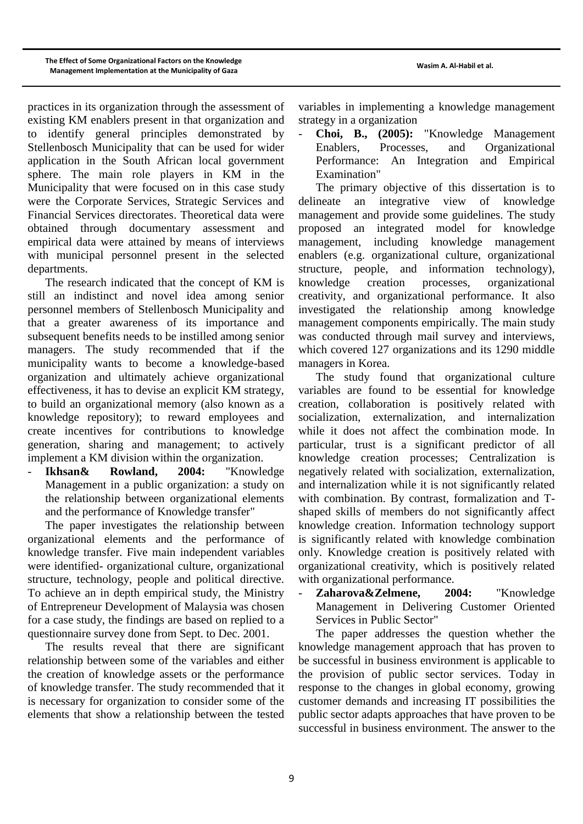practices in its organization through the assessment of existing KM enablers present in that organization and to identify general principles demonstrated by Stellenbosch Municipality that can be used for wider application in the South African local government sphere. The main role players in KM in the Municipality that were focused on in this case study were the Corporate Services, Strategic Services and Financial Services directorates. Theoretical data were obtained through documentary assessment and empirical data were attained by means of interviews with municipal personnel present in the selected departments.

The research indicated that the concept of KM is still an indistinct and novel idea among senior personnel members of Stellenbosch Municipality and that a greater awareness of its importance and subsequent benefits needs to be instilled among senior managers. The study recommended that if the municipality wants to become a knowledge-based organization and ultimately achieve organizational effectiveness, it has to devise an explicit KM strategy, to build an organizational memory (also known as a knowledge repository); to reward employees and create incentives for contributions to knowledge generation, sharing and management; to actively implement a KM division within the organization.

Ikhsan& Rowland, 2004: "Knowledge Management in a public organization: a study on the relationship between organizational elements and the performance of Knowledge transfer"

The paper investigates the relationship between organizational elements and the performance of knowledge transfer. Five main independent variables were identified- organizational culture, organizational structure, technology, people and political directive. To achieve an in depth empirical study, the Ministry of Entrepreneur Development of Malaysia was chosen for a case study, the findings are based on replied to a questionnaire survey done from Sept. to Dec. 2001.

The results reveal that there are significant relationship between some of the variables and either the creation of knowledge assets or the performance of knowledge transfer. The study recommended that it is necessary for organization to consider some of the elements that show a relationship between the tested

variables in implementing a knowledge management strategy in a organization

- **Choi, B., (2005):** "Knowledge Management Enablers, Processes, and Organizational Performance: An Integration and Empirical Examination"

The primary objective of this dissertation is to delineate an integrative view of knowledge management and provide some guidelines. The study proposed an integrated model for knowledge management, including knowledge management enablers (e.g. organizational culture, organizational structure, people, and information technology), knowledge creation processes, organizational creativity, and organizational performance. It also investigated the relationship among knowledge management components empirically. The main study was conducted through mail survey and interviews, which covered 127 organizations and its 1290 middle managers in Korea.

The study found that organizational culture variables are found to be essential for knowledge creation, collaboration is positively related with socialization, externalization, and internalization while it does not affect the combination mode. In particular, trust is a significant predictor of all knowledge creation processes; Centralization is negatively related with socialization, externalization, and internalization while it is not significantly related with combination. By contrast, formalization and Tshaped skills of members do not significantly affect knowledge creation. Information technology support is significantly related with knowledge combination only. Knowledge creation is positively related with organizational creativity, which is positively related with organizational performance.

Zaharova&Zelmene, 2004: "Knowledge Management in Delivering Customer Oriented Services in Public Sector"

The paper addresses the question whether the knowledge management approach that has proven to be successful in business environment is applicable to the provision of public sector services. Today in response to the changes in global economy, growing customer demands and increasing IT possibilities the public sector adapts approaches that have proven to be successful in business environment. The answer to the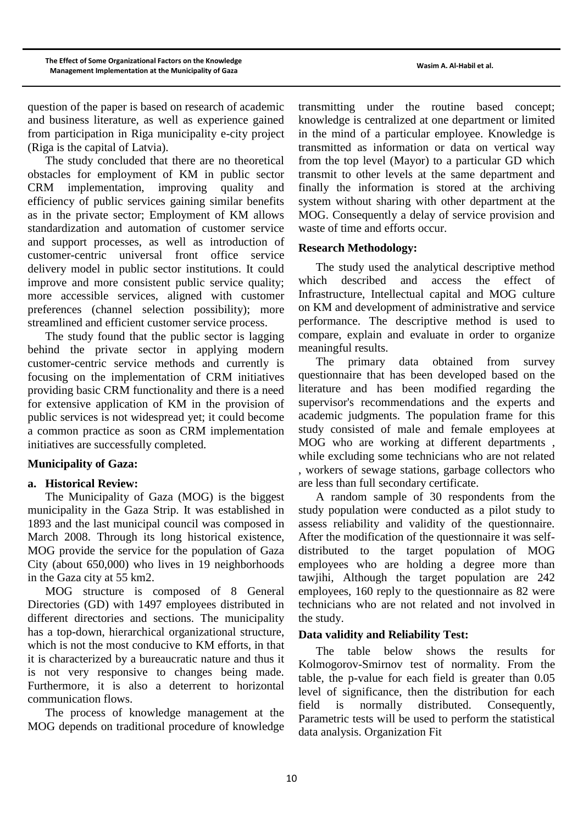question of the paper is based on research of academic and business literature, as well as experience gained from participation in Riga municipality e-city project (Riga is the capital of Latvia).

The study concluded that there are no theoretical obstacles for employment of KM in public sector CRM implementation, improving quality and efficiency of public services gaining similar benefits as in the private sector; Employment of KM allows standardization and automation of customer service and support processes, as well as introduction of customer-centric universal front office service delivery model in public sector institutions. It could improve and more consistent public service quality; more accessible services, aligned with customer preferences (channel selection possibility); more streamlined and efficient customer service process.

The study found that the public sector is lagging behind the private sector in applying modern customer-centric service methods and currently is focusing on the implementation of CRM initiatives providing basic CRM functionality and there is a need for extensive application of KM in the provision of public services is not widespread yet; it could become a common practice as soon as CRM implementation initiatives are successfully completed.

## **Municipality of Gaza:**

## **a. Historical Review:**

The Municipality of Gaza (MOG) is the biggest municipality in the Gaza Strip. It was established in 1893 and the last municipal council was composed in March 2008. Through its long historical existence, MOG provide the service for the population of Gaza City (about 650,000) who lives in 19 neighborhoods in the Gaza city at 55 km2.

MOG structure is composed of 8 General Directories (GD) with 1497 employees distributed in different directories and sections. The municipality has a top-down, hierarchical organizational structure, which is not the most conducive to KM efforts, in that it is characterized by a bureaucratic nature and thus it is not very responsive to changes being made. Furthermore, it is also a deterrent to horizontal communication flows.

The process of knowledge management at the MOG depends on traditional procedure of knowledge

transmitting under the routine based concept; knowledge is centralized at one department or limited in the mind of a particular employee. Knowledge is transmitted as information or data on vertical way from the top level (Mayor) to a particular GD which transmit to other levels at the same department and finally the information is stored at the archiving system without sharing with other department at the MOG. Consequently a delay of service provision and waste of time and efforts occur.

## **Research Methodology:**

The study used the analytical descriptive method which described and access the effect of Infrastructure, Intellectual capital and MOG culture on KM and development of administrative and service performance. The descriptive method is used to compare, explain and evaluate in order to organize meaningful results.

The primary data obtained from survey questionnaire that has been developed based on the literature and has been modified regarding the supervisor's recommendations and the experts and academic judgments. The population frame for this study consisted of male and female employees at MOG who are working at different departments , while excluding some technicians who are not related , workers of sewage stations, garbage collectors who are less than full secondary certificate.

A random sample of 30 respondents from the study population were conducted as a pilot study to assess reliability and validity of the questionnaire. After the modification of the questionnaire it was selfdistributed to the target population of MOG employees who are holding a degree more than tawjihi, Although the target population are 242 employees, 160 reply to the questionnaire as 82 were technicians who are not related and not involved in the study.

# **Data validity and Reliability Test:**

The table below shows the results for Kolmogorov-Smirnov test of normality. From the table, the p-value for each field is greater than 0.05 level of significance, then the distribution for each field is normally distributed. Consequently, Parametric tests will be used to perform the statistical data analysis. Organization Fit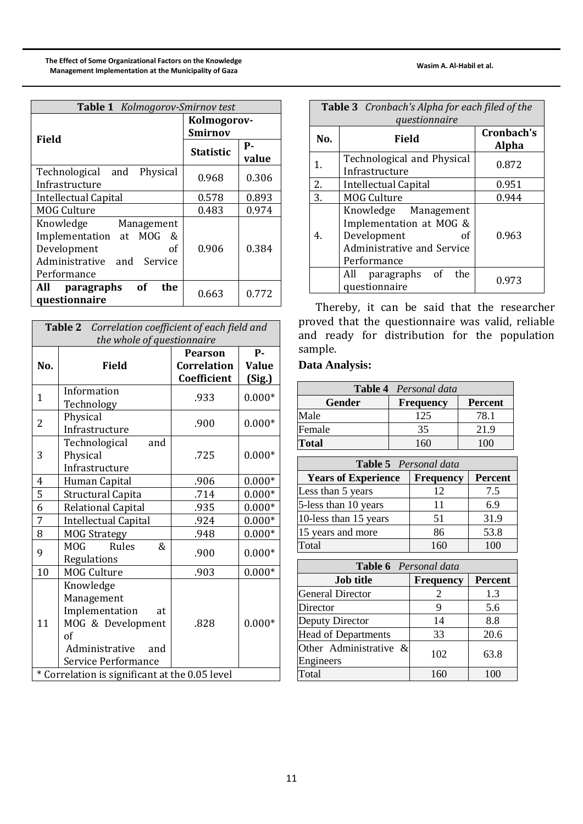| Table 1 Kolmogorov-Smirnov test  |                  |       |  |  |
|----------------------------------|------------------|-------|--|--|
|                                  | Kolmogorov-      |       |  |  |
| <b>Field</b>                     | <b>Smirnov</b>   |       |  |  |
|                                  | <b>Statistic</b> | P-    |  |  |
|                                  |                  | value |  |  |
| Technological and Physical       |                  |       |  |  |
| Infrastructure                   | 0.968            | 0.306 |  |  |
| Intellectual Capital             | 0.578            | 0.893 |  |  |
| <b>MOG Culture</b>               | 0.483            | 0.974 |  |  |
| Knowledge<br>Management          |                  |       |  |  |
| Implementation at MOG &          |                  |       |  |  |
| Development<br>οf                | 0.906            | 0.384 |  |  |
| Administrative<br>and<br>Service |                  |       |  |  |
| Performance                      |                  |       |  |  |
| of<br>the<br>paragraphs<br>All   | 0.663            | 0.772 |  |  |
| questionnaire                    |                  |       |  |  |

|              | Table 2 Correlation coefficient of each field and |                    |              |  |  |  |  |
|--------------|---------------------------------------------------|--------------------|--------------|--|--|--|--|
|              | the whole of questionnaire                        |                    |              |  |  |  |  |
|              |                                                   | <b>Pearson</b>     | P-           |  |  |  |  |
| No.          | Field                                             | <b>Correlation</b> | <b>Value</b> |  |  |  |  |
|              |                                                   | Coefficient        | (Sig.)       |  |  |  |  |
| $\mathbf{1}$ | Information                                       | .933               | $0.000*$     |  |  |  |  |
|              | Technology                                        |                    |              |  |  |  |  |
| 2            | Physical                                          | .900               | $0.000*$     |  |  |  |  |
|              | Infrastructure                                    |                    |              |  |  |  |  |
|              | Technological<br>and                              |                    |              |  |  |  |  |
| 3            | Physical                                          | .725               | $0.000*$     |  |  |  |  |
|              | Infrastructure                                    |                    |              |  |  |  |  |
| 4            | Human Capital                                     | .906               | $0.000*$     |  |  |  |  |
| 5            | Structural Capita                                 | .714               | $0.000*$     |  |  |  |  |
| 6            | Relational Capital                                | .935               | $0.000*$     |  |  |  |  |
| 7            | <b>Intellectual Capital</b>                       | .924               | $0.000*$     |  |  |  |  |
| 8            | <b>MOG Strategy</b>                               | .948               | $0.000*$     |  |  |  |  |
| 9            | <b>MOG</b><br>Rules<br>&.                         | .900               | $0.000*$     |  |  |  |  |
|              | Regulations                                       |                    |              |  |  |  |  |
| 10           | <b>MOG Culture</b>                                | .903               | $0.000*$     |  |  |  |  |
|              | Knowledge                                         |                    |              |  |  |  |  |
|              | Management                                        |                    |              |  |  |  |  |
|              | Implementation<br>at                              |                    |              |  |  |  |  |
| 11           | MOG & Development                                 | .828               | $0.000*$     |  |  |  |  |
|              | of                                                |                    |              |  |  |  |  |
|              | Administrative<br>and                             |                    |              |  |  |  |  |
|              | Service Performance                               |                    |              |  |  |  |  |
|              | * Correlation is significant at the 0.05 level    |                    |              |  |  |  |  |

|     | <b>Table 3</b> Cronbach's Alpha for each filed of the<br>questionnaire                                            |                            |  |  |  |  |
|-----|-------------------------------------------------------------------------------------------------------------------|----------------------------|--|--|--|--|
| No. | Field                                                                                                             | Cronbach's<br><b>Alpha</b> |  |  |  |  |
| 1.  | Technological and Physical<br>Infrastructure                                                                      | 0.872                      |  |  |  |  |
| 2.  | <b>Intellectual Capital</b>                                                                                       | 0.951                      |  |  |  |  |
| 3.  | <b>MOG Culture</b>                                                                                                | 0.944                      |  |  |  |  |
| 4.  | Knowledge Management<br>Implementation at MOG &<br>Development<br>οf<br>Administrative and Service<br>Performance | 0.963                      |  |  |  |  |
|     | paragraphs of<br>All<br>the<br>questionnaire                                                                      | 0.973                      |  |  |  |  |

Thereby, it can be said that the researcher proved that the questionnaire was valid, reliable and ready for distribution for the population sample.

# **Data Analysis:**

| <b>Table 4</b> Personal data |                  |                |  |  |
|------------------------------|------------------|----------------|--|--|
| <b>Gender</b>                | <b>Frequency</b> | <b>Percent</b> |  |  |
| Male                         | 125              | 78.1           |  |  |
| Female                       | 35               | 21.9           |  |  |
| <b>Total</b>                 | 160              | 100            |  |  |

| Table 5 Personal data                                            |     |      |  |  |  |  |
|------------------------------------------------------------------|-----|------|--|--|--|--|
| <b>Years of Experience</b><br><b>Percent</b><br><b>Frequency</b> |     |      |  |  |  |  |
| Less than 5 years                                                | 12  | 7.5  |  |  |  |  |
| 5-less than 10 years                                             | 11  | 6.9  |  |  |  |  |
| 10-less than 15 years                                            | 51  | 31.9 |  |  |  |  |
| 15 years and more                                                | 86  | 53.8 |  |  |  |  |
| Total                                                            | 160 | 100  |  |  |  |  |

| <b>Table 6</b> Personal data        |                  |                |  |  |  |
|-------------------------------------|------------------|----------------|--|--|--|
| <b>Job title</b>                    | <b>Frequency</b> | <b>Percent</b> |  |  |  |
| General Director                    | 2                | 1.3            |  |  |  |
| Director                            | 9                | 5.6            |  |  |  |
| Deputy Director                     | 14               | 8.8            |  |  |  |
| <b>Head of Departments</b>          | 33               | 20.6           |  |  |  |
| Other Administrative &<br>Engineers | 102              | 63.8           |  |  |  |
| Total                               | 160              | 100            |  |  |  |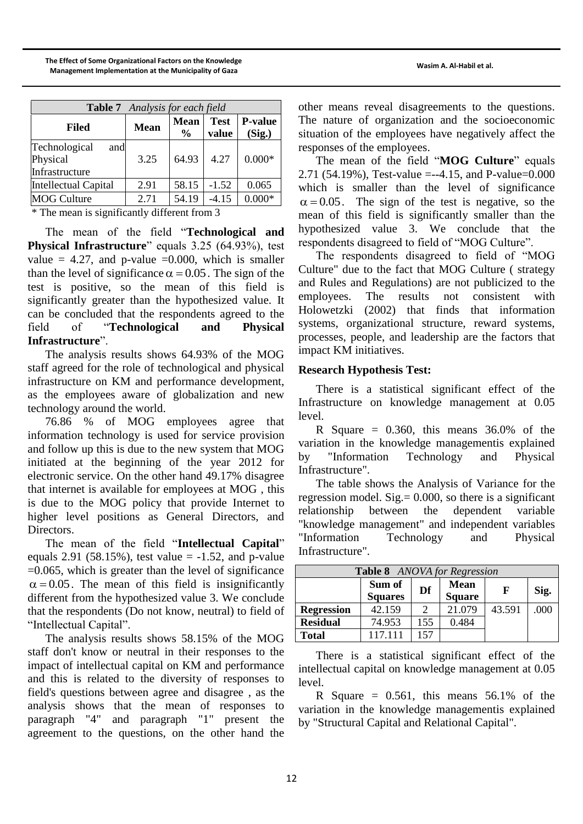| <b>Table 7</b> Analysis for each field             |             |                                             |         |                          |  |  |
|----------------------------------------------------|-------------|---------------------------------------------|---------|--------------------------|--|--|
| Filed                                              | <b>Mean</b> | <b>Test</b><br><b>Mean</b><br>value<br>$\%$ |         | <b>P-value</b><br>(Sig.) |  |  |
| and<br>Technological<br>Physical<br>Infrastructure | 3.25        | 64.93                                       | 4.27    | $0.000*$                 |  |  |
| Intellectual Capital                               | 2.91        | 58.15                                       | $-1.52$ | 0.065                    |  |  |
| <b>MOG Culture</b>                                 | 2.71        | 54.19                                       | $-4.15$ | $0.000*$                 |  |  |

\* The mean is significantly different from 3

The mean of the field "**Technological and Physical Infrastructure**" equals 3.25 (64.93%), test value = 4.27, and p-value =  $0.000$ , which is smaller than the level of significance  $\alpha = 0.05$ . The sign of the test is positive, so the mean of this field is significantly greater than the hypothesized value. It can be concluded that the respondents agreed to the field of "**Technological and Physical Infrastructure**".

The analysis results shows 64.93% of the MOG staff agreed for the role of technological and physical infrastructure on KM and performance development, as the employees aware of globalization and new technology around the world.

76.86 % of MOG employees agree that information technology is used for service provision and follow up this is due to the new system that MOG initiated at the beginning of the year 2012 for electronic service. On the other hand 49.17% disagree that internet is available for employees at MOG , this is due to the MOG policy that provide Internet to higher level positions as General Directors, and Directors.

The mean of the field "**Intellectual Capital**" equals 2.91 (58.15%), test value  $= -1.52$ , and p-value  $=0.065$ , which is greater than the level of significance  $\alpha$  = 0.05. The mean of this field is insignificantly different from the hypothesized value 3. We conclude that the respondents (Do not know, neutral) to field of "Intellectual Capital".

The analysis results shows 58.15% of the MOG staff don't know or neutral in their responses to the impact of intellectual capital on KM and performance and this is related to the diversity of responses to field's questions between agree and disagree , as the analysis shows that the mean of responses to paragraph "4" and paragraph "1" present the agreement to the questions, on the other hand the

other means reveal disagreements to the questions. The nature of organization and the socioeconomic situation of the employees have negatively affect the responses of the employees.

The mean of the field "**MOG Culture**" equals 2.71 (54.19%), Test-value =--4.15, and P-value=0.000 which is smaller than the level of significance  $\alpha = 0.05$ . The sign of the test is negative, so the mean of this field is significantly smaller than the hypothesized value 3. We conclude that the respondents disagreed to field of "MOG Culture".

The respondents disagreed to field of "MOG Culture" due to the fact that MOG Culture ( strategy and Rules and Regulations) are not publicized to the employees. The results not consistent with Holowetzki (2002) that finds that information systems, organizational structure, reward systems, processes, people, and leadership are the factors that impact KM initiatives.

## **Research Hypothesis Test:**

There is a statistical significant effect of the Infrastructure on knowledge management at 0.05 level.

R Square  $= 0.360$ , this means 36.0% of the variation in the knowledge managementis explained by "Information Technology and Physical Infrastructure".

The table shows the Analysis of Variance for the regression model. Sig. $= 0.000$ , so there is a significant relationship between the dependent variable "knowledge management" and independent variables "Information Technology and Physical Infrastructure".

| Table 8 ANOVA for Regression |                          |     |                              |        |      |  |
|------------------------------|--------------------------|-----|------------------------------|--------|------|--|
|                              | Sum of<br><b>Squares</b> | Df  | <b>Mean</b><br><b>Square</b> | F      | Sig. |  |
| <b>Regression</b>            | 42.159                   |     | 21.079                       | 43.591 | .000 |  |
| <b>Residual</b>              | 74.953                   | 155 | 0.484                        |        |      |  |
| <b>Total</b>                 | 117 111                  | 157 |                              |        |      |  |

There is a statistical significant effect of the intellectual capital on knowledge management at 0.05 level.

R Square  $= 0.561$ , this means  $56.1\%$  of the variation in the knowledge managementis explained by "Structural Capital and Relational Capital".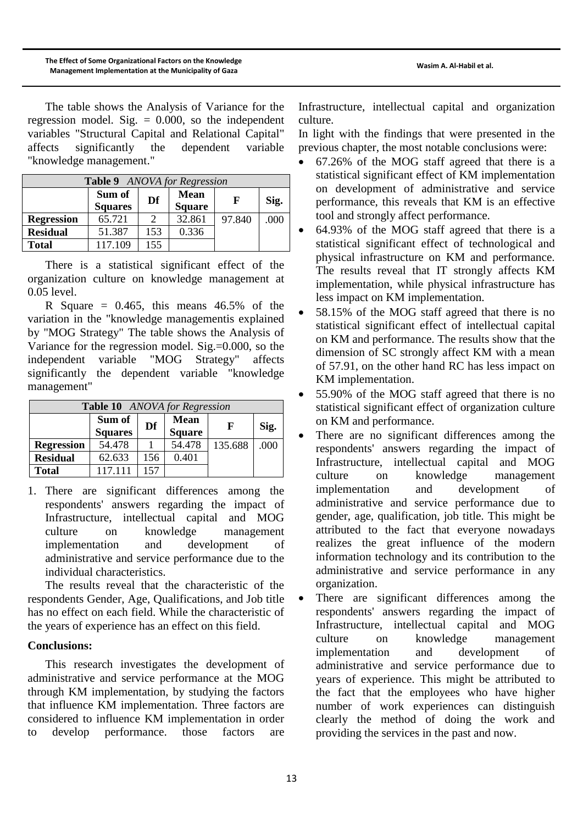The table shows the Analysis of Variance for the regression model. Sig.  $= 0.000$ , so the independent variables "Structural Capital and Relational Capital" affects significantly the dependent variable "knowledge management."

| <b>Table 9</b> ANOVA for Regression                                                    |         |     |        |        |      |  |
|----------------------------------------------------------------------------------------|---------|-----|--------|--------|------|--|
| Sum of<br><b>Mean</b><br>Df<br>Sig.<br>$\mathbf{F}$<br><b>Square</b><br><b>Squares</b> |         |     |        |        |      |  |
| <b>Regression</b>                                                                      | 65.721  | っ   | 32.861 | 97.840 | .000 |  |
| <b>Residual</b>                                                                        | 51.387  | 153 | 0.336  |        |      |  |
| <b>Total</b>                                                                           | 117.109 | 155 |        |        |      |  |

There is a statistical significant effect of the organization culture on knowledge management at 0.05 level.

R Square  $= 0.465$ , this means 46.5% of the variation in the "knowledge managementis explained by "MOG Strategy" The table shows the Analysis of Variance for the regression model. Sig.=0.000, so the independent variable "MOG Strategy" affects independent variable "MOG Strategy" affects significantly the dependent variable "knowledge management"

| <b>Table 10</b> ANOVA for Regression                                                   |         |     |        |         |      |  |
|----------------------------------------------------------------------------------------|---------|-----|--------|---------|------|--|
| Sum of<br><b>Mean</b><br>Df<br>Sig.<br>$\mathbf{F}$<br><b>Square</b><br><b>Squares</b> |         |     |        |         |      |  |
| <b>Regression</b>                                                                      | 54.478  |     | 54.478 | 135.688 | .000 |  |
| <b>Residual</b>                                                                        | 62.633  | 156 | 0.401  |         |      |  |
| <b>Total</b>                                                                           | 117 111 | 157 |        |         |      |  |

1. There are significant differences among the respondents' answers regarding the impact of Infrastructure, intellectual capital and MOG culture on knowledge management implementation and development of administrative and service performance due to the individual characteristics.

The results reveal that the characteristic of the respondents Gender, Age, Qualifications, and Job title has no effect on each field. While the characteristic of the years of experience has an effect on this field.

# **Conclusions:**

This research investigates the development of administrative and service performance at the MOG through KM implementation, by studying the factors that influence KM implementation. Three factors are considered to influence KM implementation in order to develop performance. those factors are

Infrastructure, intellectual capital and organization culture.

In light with the findings that were presented in the previous chapter, the most notable conclusions were:

- 67.26% of the MOG staff agreed that there is a statistical significant effect of KM implementation on development of administrative and service performance, this reveals that KM is an effective tool and strongly affect performance.
- 64.93% of the MOG staff agreed that there is a statistical significant effect of technological and physical infrastructure on KM and performance. The results reveal that IT strongly affects KM implementation, while physical infrastructure has less impact on KM implementation.
- 58.15% of the MOG staff agreed that there is no statistical significant effect of intellectual capital on KM and performance. The results show that the dimension of SC strongly affect KM with a mean of 57.91, on the other hand RC has less impact on KM implementation.
- 55.90% of the MOG staff agreed that there is no statistical significant effect of organization culture on KM and performance.
- There are no significant differences among the respondents' answers regarding the impact of Infrastructure, intellectual capital and MOG culture on knowledge management implementation and development of administrative and service performance due to gender, age, qualification, job title. This might be attributed to the fact that everyone nowadays realizes the great influence of the modern information technology and its contribution to the administrative and service performance in any organization.
- There are significant differences among the respondents' answers regarding the impact of Infrastructure, intellectual capital and MOG culture on knowledge management implementation and development of administrative and service performance due to years of experience. This might be attributed to the fact that the employees who have higher number of work experiences can distinguish clearly the method of doing the work and providing the services in the past and now.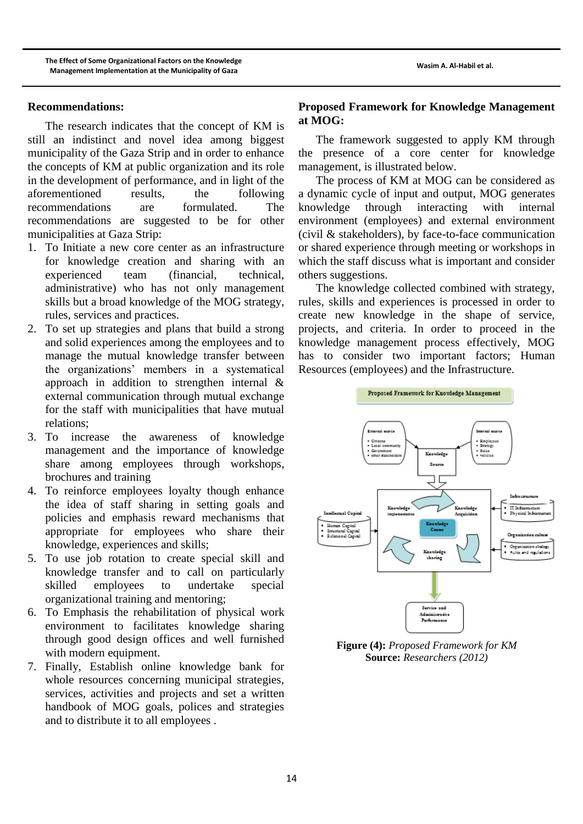#### **Recommendations:**

The research indicates that the concept of KM is still an indistinct and novel idea among biggest municipality of the Gaza Strip and in order to enhance the concepts of KM at public organization and its role in the development of performance, and in light of the aforementioned results, the following recommendations are formulated. The recommendations are suggested to be for other municipalities at Gaza Strip:

- 1. To Initiate a new core center as an infrastructure for knowledge creation and sharing with an experienced team (financial, technical, administrative) who has not only management skills but a broad knowledge of the MOG strategy, rules, services and practices.
- 2. To set up strategies and plans that build a strong and solid experiences among the employees and to manage the mutual knowledge transfer between the organizations' members in a systematical approach in addition to strengthen internal & external communication through mutual exchange for the staff with municipalities that have mutual relations;
- 3. To increase the awareness of knowledge management and the importance of knowledge share among employees through workshops, brochures and training
- 4. To reinforce employees loyalty though enhance the idea of staff sharing in setting goals and policies and emphasis reward mechanisms that appropriate for employees who share their knowledge, experiences and skills;
- 5. To use job rotation to create special skill and knowledge transfer and to call on particularly skilled employees to undertake special organizational training and mentoring;
- 6. To Emphasis the rehabilitation of physical work environment to facilitates knowledge sharing through good design offices and well furnished with modern equipment.
- 7. Finally, Establish online knowledge bank for whole resources concerning municipal strategies, services, activities and projects and set a written handbook of MOG goals, polices and strategies and to distribute it to all employees .

## **Proposed Framework for Knowledge Management at MOG:**

The framework suggested to apply KM through the presence of a core center for knowledge management, is illustrated below.

The process of KM at MOG can be considered as a dynamic cycle of input and output, MOG generates knowledge through interacting with internal environment (employees) and external environment (civil & stakeholders), by face-to-face communication or shared experience through meeting or workshops in which the staff discuss what is important and consider others suggestions.

The knowledge collected combined with strategy, rules, skills and experiences is processed in order to create new knowledge in the shape of service, projects, and criteria. In order to proceed in the knowledge management process effectively, MOG has to consider two important factors; Human Resources (employees) and the Infrastructure.



**Figure (4):** *Proposed Framework for KM* **Source:** *Researchers (2012)*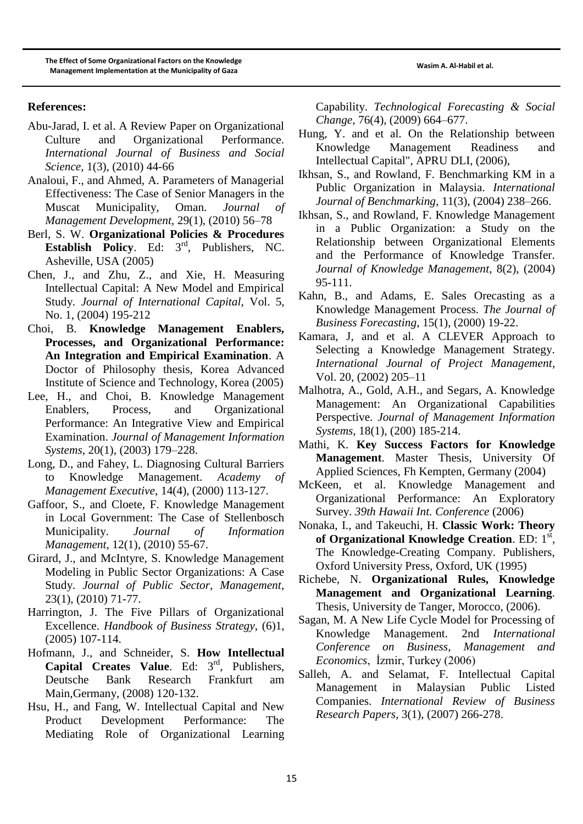#### **References:**

- Abu-Jarad, I. et al. A Review Paper on Organizational Culture and Organizational Performance. *International Journal of Business and Social Science,* 1(3), (2010) 44-66
- Analoui, F., and Ahmed, A. Parameters of Managerial Effectiveness: The Case of Senior Managers in the Muscat Municipality, Oman. *Journal of Management Development,* 29(1), (2010) 56–78
- Berl, S. W. **Organizational Policies & Procedures Establish Policy**. Ed: 3rd, Publishers, NC. Asheville, USA (2005)
- Chen, J., and Zhu, Z., and Xie, H. Measuring Intellectual Capital: A New Model and Empirical Study. *Journal of International Capital*, Vol. 5, No. 1, (2004) 195-212
- Choi, B. **Knowledge Management Enablers, Processes, and Organizational Performance: An Integration and Empirical Examination**. A Doctor of Philosophy thesis, Korea Advanced Institute of Science and Technology, Korea (2005)
- Lee, H., and Choi, B. Knowledge Management Enablers, Process, and Organizational Performance: An Integrative View and Empirical Examination. *Journal of Management Information Systems*, 20(1), (2003) 179–228.
- Long, D., and Fahey, L. Diagnosing Cultural Barriers to Knowledge Management. *Academy of Management Executive*, 14(4), (2000) 113-127.
- Gaffoor, S., and Cloete, F. Knowledge Management in Local Government: The Case of Stellenbosch Municipality. *Journal of Information Management*, 12(1), (2010) 55-67.
- Girard, J., and McIntyre, S. Knowledge Management Modeling in Public Sector Organizations: A Case Study. *Journal of Public Sector, Management*, 23(1), (2010) 71-77.
- Harrington, J. The Five Pillars of Organizational Excellence. *Handbook of Business Strategy*, (6)1, (2005) 107-114.
- Hofmann, J., and Schneider, S. **How Intellectual**  Capital Creates Value. Ed: 3<sup>rd</sup>, Publishers, Deutsche Bank Research Frankfurt am Main,Germany, (2008) 120-132.
- Hsu, H., and Fang, W. Intellectual Capital and New Product Development Performance: The Mediating Role of Organizational Learning

Capability. *Technological Forecasting & Social Change,* 76(4), (2009) 664–677.

- Hung, Y. and et al. On the Relationship between Knowledge Management Readiness and Intellectual Capital", APRU DLI, (2006),
- Ikhsan, S., and Rowland, F. Benchmarking KM in a Public Organization in Malaysia. *International Journal of Benchmarking*, 11(3), (2004) 238–266.
- Ikhsan, S., and Rowland, F. Knowledge Management in a Public Organization: a Study on the Relationship between Organizational Elements and the Performance of Knowledge Transfer. *Journal of Knowledge Management*, 8(2), (2004) 95-111.
- Kahn, B., and Adams, E. Sales Orecasting as a Knowledge Management Process. *The Journal of Business Forecasting*, 15(1), (2000) 19-22.
- Kamara, J, and et al. A CLEVER Approach to Selecting a Knowledge Management Strategy. *International Journal of Project Management*, Vol. 20, (2002) 205–11
- Malhotra, A., Gold, A.H., and Segars, A. Knowledge Management: An Organizational Capabilities Perspective. *Journal of Management Information Systems*, 18(1), (200) 185-214.
- Mathi, K. **Key Success Factors for Knowledge Management**. Master Thesis, University Of Applied Sciences, Fh Kempten, Germany (2004)
- McKeen, et al. Knowledge Management and Organizational Performance: An Exploratory Survey. *39th Hawaii Int. Conference* (2006)
- Nonaka, I., and Takeuchi, H. **Classic Work: Theory**  of Organizational Knowledge Creation. ED: 1<sup>st</sup>, The Knowledge-Creating Company. Publishers, Oxford University Press, Oxford, UK (1995)
- Richebe, N. **Organizational Rules, Knowledge Management and Organizational Learning**. Thesis, University de Tanger, Morocco, (2006).
- Sagan, M. A New Life Cycle Model for Processing of Knowledge Management. 2nd *International Conference on Business, Management and Economics*, İzmir, Turkey (2006)
- Salleh, A. and Selamat, F. Intellectual Capital Management in Malaysian Public Listed Companies. *International Review of Business Research Papers*, 3(1), (2007) 266-278.